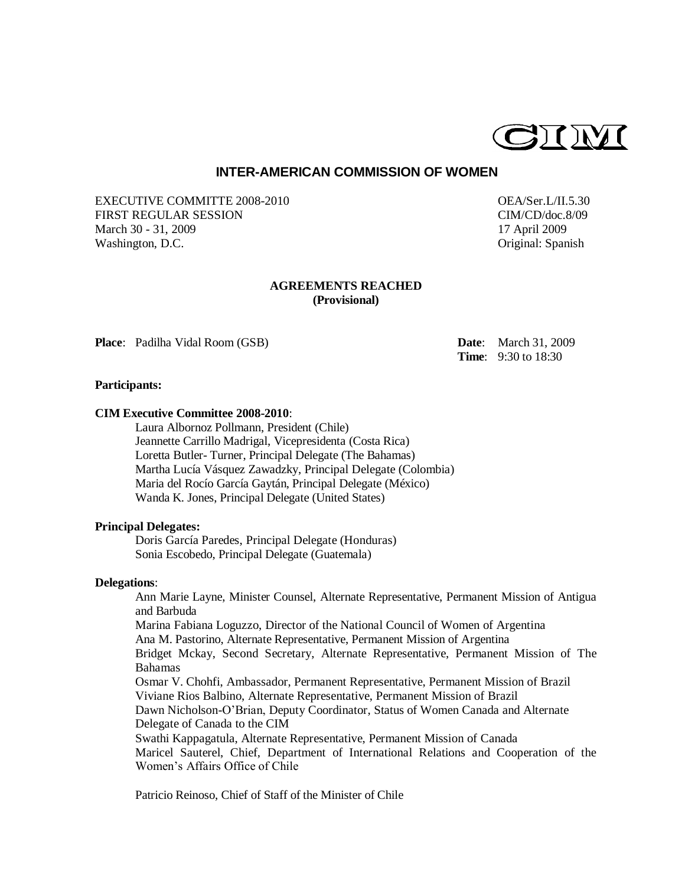

# **INTER-AMERICAN COMMISSION OF WOMEN**

EXECUTIVE COMMITTE 2008-2010 OEA/Ser.L/II.5.30 FIRST REGULAR SESSION CIM/CD/doc.8/09 March 30 - 31, 2009 17 April 2009 Washington, D.C. **Original:** Spanish

# **AGREEMENTS REACHED (Provisional)**

**Place**: Padilha Vidal Room (GSB) **Date**: March 31, 2009

**Time**: 9:30 to 18:30

## **Participants:**

# **CIM Executive Committee 2008-2010**:

Laura Albornoz Pollmann, President (Chile) Jeannette Carrillo Madrigal, Vicepresidenta (Costa Rica) Loretta Butler- Turner, Principal Delegate (The Bahamas) Martha Lucía Vásquez Zawadzky, Principal Delegate (Colombia) Maria del Rocío García Gaytán, Principal Delegate (México) Wanda K. Jones, Principal Delegate (United States)

#### **Principal Delegates:**

Doris García Paredes, Principal Delegate (Honduras) Sonia Escobedo, Principal Delegate (Guatemala)

#### **Delegations**:

Ann Marie Layne, Minister Counsel, Alternate Representative, Permanent Mission of Antigua and Barbuda Marina Fabiana Loguzzo, Director of the National Council of Women of Argentina Ana M. Pastorino, Alternate Representative, Permanent Mission of Argentina Bridget Mckay, Second Secretary, Alternate Representative, Permanent Mission of The Bahamas Osmar V. Chohfi, Ambassador, Permanent Representative, Permanent Mission of Brazil Viviane Rios Balbino, Alternate Representative, Permanent Mission of Brazil Dawn Nicholson-O'Brian, Deputy Coordinator, Status of Women Canada and Alternate Delegate of Canada to the CIM Swathi Kappagatula, Alternate Representative, Permanent Mission of Canada Maricel Sauterel, Chief, Department of International Relations and Cooperation of the Women's Affairs Office of Chile

Patricio Reinoso, Chief of Staff of the Minister of Chile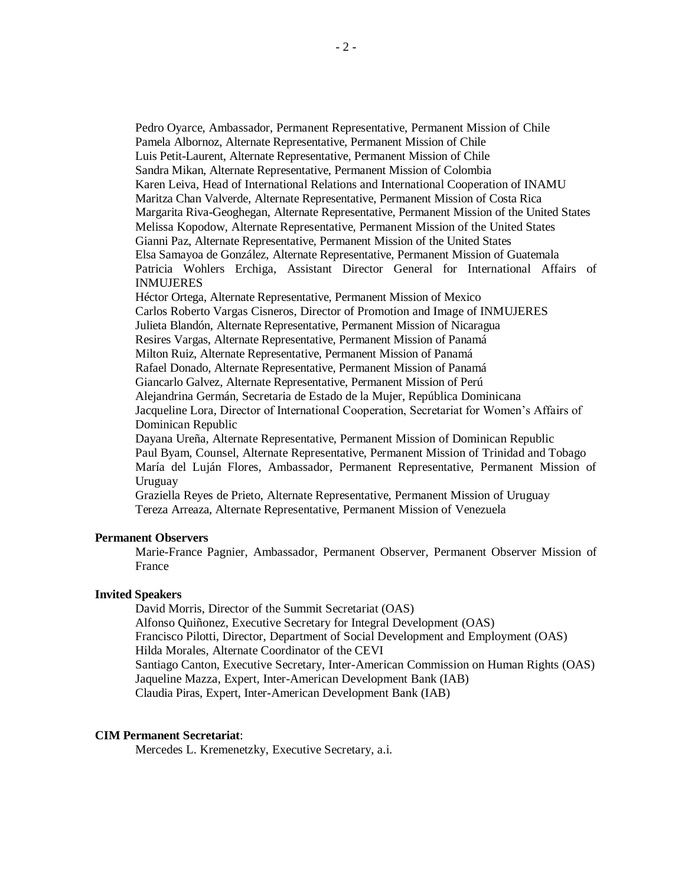Pedro Oyarce, Ambassador, Permanent Representative, Permanent Mission of Chile Pamela Albornoz, Alternate Representative, Permanent Mission of Chile Luis Petit-Laurent, Alternate Representative, Permanent Mission of Chile Sandra Mikan, Alternate Representative, Permanent Mission of Colombia Karen Leiva, Head of International Relations and International Cooperation of INAMU Maritza Chan Valverde, Alternate Representative, Permanent Mission of Costa Rica Margarita Riva-Geoghegan, Alternate Representative, Permanent Mission of the United States Melissa Kopodow, Alternate Representative, Permanent Mission of the United States Gianni Paz, Alternate Representative, Permanent Mission of the United States Elsa Samayoa de González, Alternate Representative, Permanent Mission of Guatemala Patricia Wohlers Erchiga, Assistant Director General for International Affairs of INMUJERES Héctor Ortega, Alternate Representative, Permanent Mission of Mexico Carlos Roberto Vargas Cisneros, Director of Promotion and Image of INMUJERES Julieta Blandón, Alternate Representative, Permanent Mission of Nicaragua Resires Vargas, Alternate Representative, Permanent Mission of Panamá Milton Ruiz, Alternate Representative, Permanent Mission of Panamá Rafael Donado, Alternate Representative, Permanent Mission of Panamá Giancarlo Galvez, Alternate Representative, Permanent Mission of Perú Alejandrina Germán, Secretaria de Estado de la Mujer, República Dominicana Jacqueline Lora, Director of International Cooperation, Secretariat for Women's Affairs of Dominican Republic Dayana Ureña, Alternate Representative, Permanent Mission of Dominican Republic Paul Byam, Counsel, Alternate Representative, Permanent Mission of Trinidad and Tobago María del Luján Flores, Ambassador, Permanent Representative, Permanent Mission of Uruguay Graziella Reyes de Prieto, Alternate Representative, Permanent Mission of Uruguay

Tereza Arreaza, Alternate Representative, Permanent Mission of Venezuela

# **Permanent Observers**

Marie-France Pagnier, Ambassador, Permanent Observer, Permanent Observer Mission of France

## **Invited Speakers**

David Morris, Director of the Summit Secretariat (OAS) Alfonso Quiñonez, Executive Secretary for Integral Development (OAS) Francisco Pilotti, Director, Department of Social Development and Employment (OAS) Hilda Morales, Alternate Coordinator of the CEVI Santiago Canton, Executive Secretary, Inter-American Commission on Human Rights (OAS) Jaqueline Mazza, Expert, Inter-American Development Bank (IAB) Claudia Piras, Expert, Inter-American Development Bank (IAB)

# **CIM Permanent Secretariat**:

Mercedes L. Kremenetzky, Executive Secretary, a.i.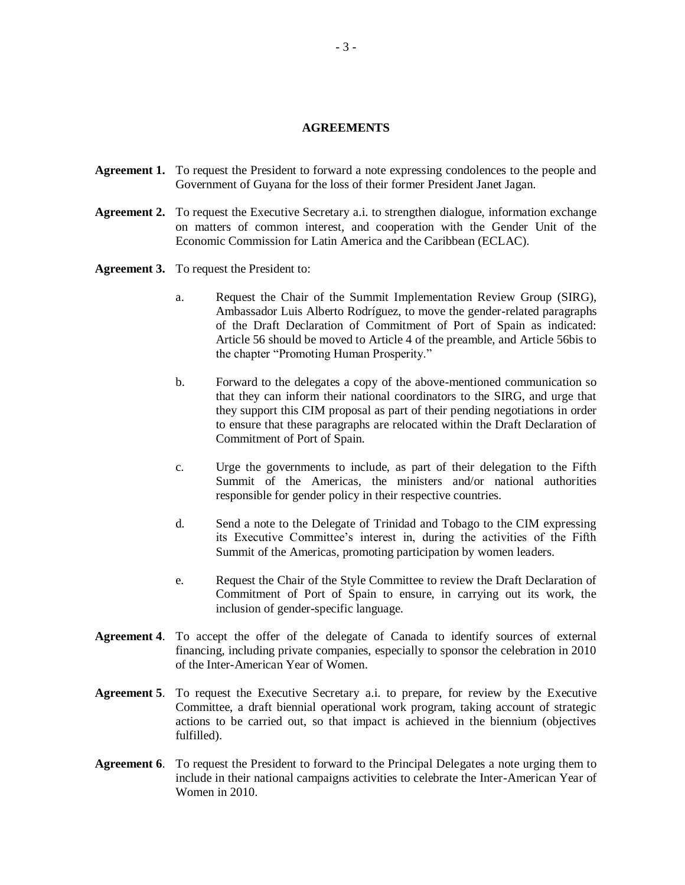#### **AGREEMENTS**

- **Agreement 1.** To request the President to forward a note expressing condolences to the people and Government of Guyana for the loss of their former President Janet Jagan.
- **Agreement 2.** To request the Executive Secretary a.i. to strengthen dialogue, information exchange on matters of common interest, and cooperation with the Gender Unit of the Economic Commission for Latin America and the Caribbean (ECLAC).
- **Agreement 3.** To request the President to:
	- a. Request the Chair of the Summit Implementation Review Group (SIRG), Ambassador Luis Alberto Rodríguez, to move the gender-related paragraphs of the Draft Declaration of Commitment of Port of Spain as indicated: Article 56 should be moved to Article 4 of the preamble, and Article 56bis to the chapter "Promoting Human Prosperity."
	- b. Forward to the delegates a copy of the above-mentioned communication so that they can inform their national coordinators to the SIRG, and urge that they support this CIM proposal as part of their pending negotiations in order to ensure that these paragraphs are relocated within the Draft Declaration of Commitment of Port of Spain.
	- c. Urge the governments to include, as part of their delegation to the Fifth Summit of the Americas, the ministers and/or national authorities responsible for gender policy in their respective countries.
	- d. Send a note to the Delegate of Trinidad and Tobago to the CIM expressing its Executive Committee's interest in, during the activities of the Fifth Summit of the Americas, promoting participation by women leaders.
	- e. Request the Chair of the Style Committee to review the Draft Declaration of Commitment of Port of Spain to ensure, in carrying out its work, the inclusion of gender-specific language.
- **Agreement 4**. To accept the offer of the delegate of Canada to identify sources of external financing, including private companies, especially to sponsor the celebration in 2010 of the Inter-American Year of Women.
- **Agreement 5**. To request the Executive Secretary a.i. to prepare, for review by the Executive Committee, a draft biennial operational work program, taking account of strategic actions to be carried out, so that impact is achieved in the biennium (objectives fulfilled).
- **Agreement 6**. To request the President to forward to the Principal Delegates a note urging them to include in their national campaigns activities to celebrate the Inter-American Year of Women in 2010.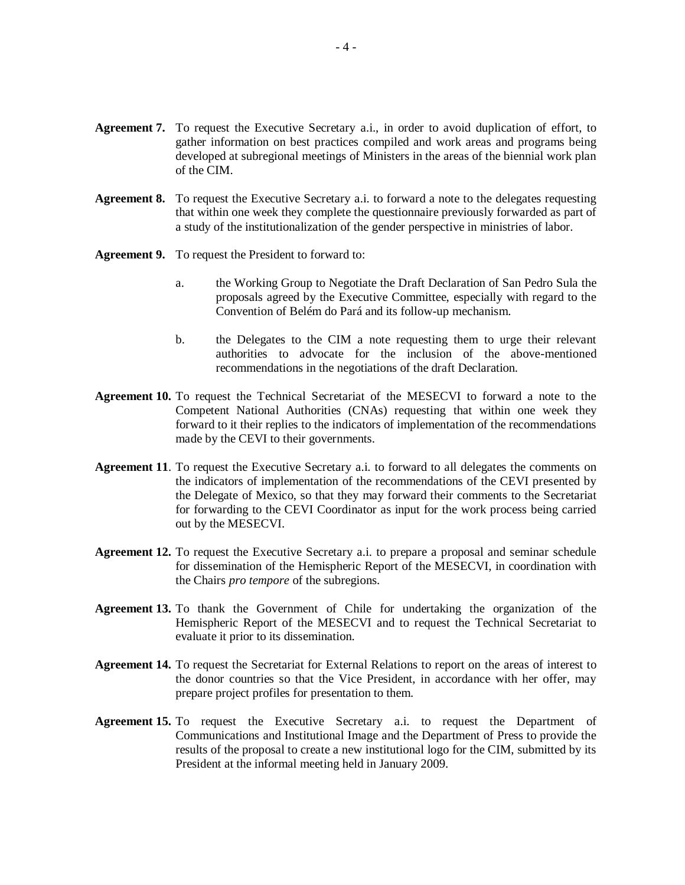- **Agreement 7.** To request the Executive Secretary a.i., in order to avoid duplication of effort, to gather information on best practices compiled and work areas and programs being developed at subregional meetings of Ministers in the areas of the biennial work plan of the CIM.
- **Agreement 8.** To request the Executive Secretary a.i. to forward a note to the delegates requesting that within one week they complete the questionnaire previously forwarded as part of a study of the institutionalization of the gender perspective in ministries of labor.
- **Agreement 9.** To request the President to forward to:
	- a. the Working Group to Negotiate the Draft Declaration of San Pedro Sula the proposals agreed by the Executive Committee, especially with regard to the Convention of Belém do Pará and its follow-up mechanism.
	- b. the Delegates to the CIM a note requesting them to urge their relevant authorities to advocate for the inclusion of the above-mentioned recommendations in the negotiations of the draft Declaration.
- **Agreement 10.** To request the Technical Secretariat of the MESECVI to forward a note to the Competent National Authorities (CNAs) requesting that within one week they forward to it their replies to the indicators of implementation of the recommendations made by the CEVI to their governments.
- **Agreement 11**. To request the Executive Secretary a.i. to forward to all delegates the comments on the indicators of implementation of the recommendations of the CEVI presented by the Delegate of Mexico, so that they may forward their comments to the Secretariat for forwarding to the CEVI Coordinator as input for the work process being carried out by the MESECVI.
- **Agreement 12.** To request the Executive Secretary a.i. to prepare a proposal and seminar schedule for dissemination of the Hemispheric Report of the MESECVI, in coordination with the Chairs *pro tempore* of the subregions.
- **Agreement 13.** To thank the Government of Chile for undertaking the organization of the Hemispheric Report of the MESECVI and to request the Technical Secretariat to evaluate it prior to its dissemination.
- **Agreement 14.** To request the Secretariat for External Relations to report on the areas of interest to the donor countries so that the Vice President, in accordance with her offer, may prepare project profiles for presentation to them.
- **Agreement 15.** To request the Executive Secretary a.i. to request the Department of Communications and Institutional Image and the Department of Press to provide the results of the proposal to create a new institutional logo for the CIM, submitted by its President at the informal meeting held in January 2009.